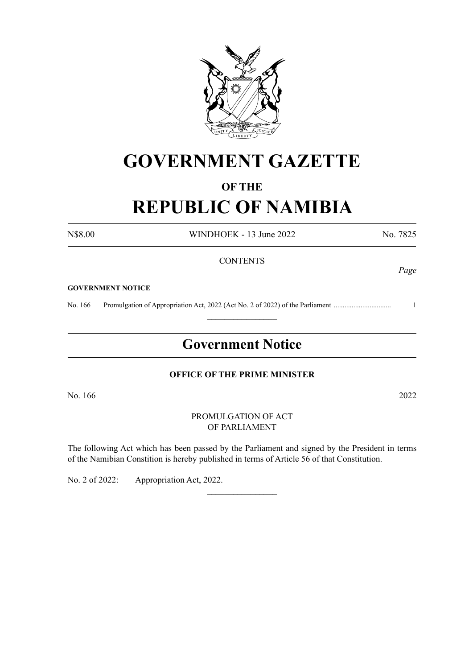

# **GOVERNMENT GAZETTE**

## **OF THE REPUBLIC OF NAMIBIA**

N\$8.00 WINDHOEK - 13 June 2022 No. 7825

#### **CONTENTS**

#### **GOVERNMENT NOTICE**

No. 166 Promulgation of Appropriation Act, 2022 (Act No. 2 of 2022) of the Parliament ................................ 1

## **Government Notice**

 $\frac{1}{2}$ 

#### **OFFICE OF THE PRIME MINISTER**

No. 166 2022

#### PROMULGATION OF ACT OF PARLIAMENT

The following Act which has been passed by the Parliament and signed by the President in terms of the Namibian Constition is hereby published in terms of Article 56 of that Constitution.

 $\overline{\phantom{a}}$  , where  $\overline{\phantom{a}}$ 

No. 2 of 2022: Appropriation Act, 2022.

*Page*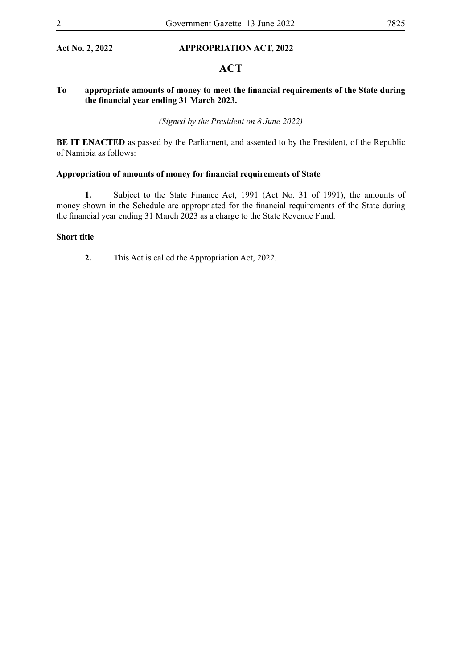#### **Act No. 2, 2022 APPROPRIATION ACT, 2022**

## **ACT**

#### **To appropriate amounts of money to meet the financial requirements of the State during the financial year ending 31 March 2023.**

*(Signed by the President on 8 June 2022)*

**BE IT ENACTED** as passed by the Parliament, and assented to by the President, of the Republic of Namibia as follows:

#### **Appropriation of amounts of money for financial requirements of State**

**1.** Subject to the State Finance Act, 1991 (Act No. 31 of 1991), the amounts of money shown in the Schedule are appropriated for the financial requirements of the State during the financial year ending 31 March 2023 as a charge to the State Revenue Fund.

#### **Short title**

**2.** This Act is called the Appropriation Act, 2022.